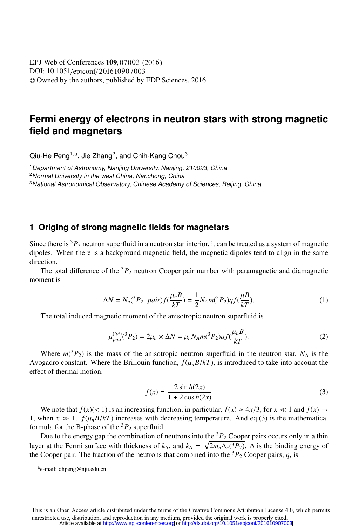DOI: 10.1051/epjconf/201610907003 -<sup>C</sup> Owned by the authors, published by EDP Sciences, 201 6 **EPJ** Web of Conferences **109**, 07003 (2016)

# **Fermi energy of electrons in neutron stars with strong magnetic field and magnetars**

 $Qiu$ -He Peng<sup>1,a</sup>, Jie Zhang<sup>2</sup>, and Chih-Kang Chou<sup>3</sup>

<sup>1</sup> Department of Astronomy, Nanjing University, Nanjing, 210093, China

<sup>2</sup> Normal University in the west China, Nanchong, China

<sup>3</sup> National Astronomical Observatory, Chinese Academy of Sciences, Beijing, China

### **1 Origing of strong magnetic fields for magnetars**

Since there is  ${}^{3}P_2$  neutron superfluid in a neutron star interior, it can be treated as a system of magnetic dipoles. When there is a background magnetic field, the magnetic dipoles tend to align in the same direction.

The total difference of the  ${}^{3}P_2$  neutron Cooper pair number with paramagnetic and diamagnetic moment is

$$
\Delta N = N_n({}^3P_{2\_\{D}air})f(\frac{\mu_n B}{kT}) = \frac{1}{2}N_A m({}^3P_{2})qf(\frac{\mu B}{kT}).
$$
\n(1)

The total induced magnetic moment of the anisotropic neutron superfluid is

$$
\mu_{pair}^{(tot)}(^3P_2) = 2\mu_n \times \Delta N = \mu_n N_A m(^3P_2) q f(\frac{\mu_n B}{kT}).
$$
\n(2)

Where  $m(^3P_2)$  is the mass of the anisotropic neutron superfluid in the neutron star,  $N_A$  is the Avogadro constant. Where the Brillouin function,  $f(\mu_n B/kT)$ , is introduced to take into account the effect of thermal motion.

$$
f(x) = \frac{2\sin h(2x)}{1 + 2\cos h(2x)}
$$
(3)

We note that  $f(x)$ (< 1) is an increasing function, in particular,  $f(x) \approx 4x/3$ , for  $x \ll 1$  and  $f(x) \rightarrow$ 1, when  $x \gg 1$ .  $f(\mu_n B/kT)$  increases with decreasing temperature. And eq.(3) is the mathematical formula for the B-phase of the  ${}^{3}P_{2}$  superfluid.

Due to the energy gap the combination of neutrons into the  ${}^{3}P_{2}$  Cooper pairs occurs only in a thin layer at the Fermi surface with thickness of  $k_{\Delta}$ , and  $k_{\Delta} = \sqrt{2m_n\Delta_n(^3P_2)}$ .  $\Delta$  is the binding energy of the Cooper pair. The fraction of the neutrons that combined into the  ${}^{3}P_{2}$  Cooper pairs, *q*, is

This is an Open Access article distributed under the terms of the Creative Commons Attribution License 4.0, which permits unrestricted use, distribution, and reproduction in any medium, provided the original work is properly cited. Article available at <http://www.epj-conferences.org> or <http://dx.doi.org/10.1051/epjconf/201610907003>

ae-mail: qhpeng@nju.edu.cn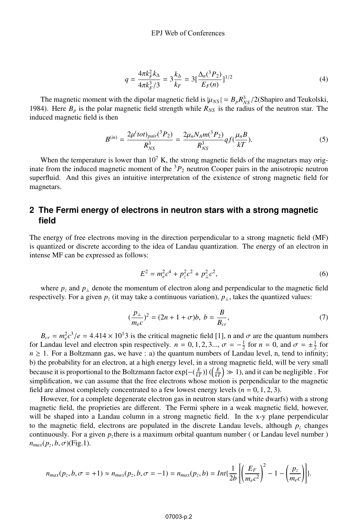$$
q = \frac{4\pi k_F^2 k_\Delta}{4\pi k_F^3 / 3} = 3\frac{k_\Delta}{k_F} = 3\left[\frac{\Delta_n(^3P_2)}{E_F(n)}\right]^{1/2} \tag{4}
$$

The magnetic moment with the dipolar magnetic field is  $|\mu_{NS}| = B_p R_{NS}^3/2$ (Shapiro and Teukolski,  $\Delta$ ). Here *R*, is the polar magnetic field strength while *R<sub>112</sub>* is the radius of the peutron star. The 1984). Here  $B_p$  is the polar magnetic field strength while  $R_{NS}$  is the radius of the neutron star. The induced magnetic field is then

$$
B^{(in)} = \frac{2\mu^{(tot)}\rho_{air}(^{3}P_{2})}{R_{NS}^{3}} = \frac{2\mu_{n}N_{A}m(^{3}P_{2})}{R_{NS}^{3}}qf(\frac{\mu_{n}B}{kT}).
$$
\n(5)

When the temperature is lower than  $10<sup>7</sup>$  K, the strong magnetic fields of the magnetars may originate from the induced magnetic moment of the  ${}^{3}P_{2}$  neutron Cooper pairs in the anisotropic neutron superfluid. And this gives an intuitive interpretation of the existence of strong magnetic field for magnetars.

### **2 The Fermi energy of electrons in neutron stars with a strong magnetic field**

The energy of free electrons moving in the direction perpendicular to a strong magnetic field (MF) is quantized or discrete according to the idea of Landau quantization. The energy of an electron in intense MF can be expressed as follows:

$$
E^2 = m_e^2 c^4 + p_z^2 c^2 + p_\perp^2 c^2,
$$
\t(6)

where  $p<sub>z</sub>$  and  $p<sub>⊥</sub>$  denote the momentum of electron along and perpendicular to the magnetic field respectively. For a given  $p_z$  (it may take a continuous variation),  $p_\perp$ , takes the quantized values:

$$
\left(\frac{p_{\perp}}{m_{e}c}\right)^{2} = (2n + 1 + \sigma)b, \ b = \frac{B}{B_{cr}},\tag{7}
$$

 $B_{cr} = m_e^2 c^3/e = 4.414 \times 10^{13}$  is the critical magnetic field [1], n and  $\sigma$  are the quantum numbers<br>Landau level and electron spin respectively,  $n = 0, 1, 2, 3, \quad \sigma = -\frac{1}{2}$  for  $n = 0$ , and  $\sigma = +\frac{1}{2}$  for for Landau level and electron spin respectively.  $n = 0, 1, 2, 3...$ ,  $\sigma = -\frac{1}{2}$  for  $n = 0$ , and  $\sigma = \pm \frac{1}{2}$  for  $n > 1$ . For a Boltzmann gas, we have  $\sigma$ , a) the quantum numbers of I andau level, n tend to infinity  $n \geq 1$ . For a Boltzmann gas, we have : a) the quantum numbers of Landau level, n, tend to infinity; b) the probability for an electron, at a high energy level, in a strong magnetic field, will be very small because it is proportional to the Boltzmann factor  $\exp\{-\left(\frac{E}{kT}\right)\}\left(\left(\frac{E}{kT}\right) \gg 1\right)$ , and it can be negligible. For simplification, we can assume that the free electrons whose motion is perpendicular to the magnetic field are almost completely concentrated to a few lowest energy levels  $(n = 0, 1, 2, 3)$ .

However, for a complete degenerate electron gas in neutron stars (and white dwarfs) with a strong magnetic field, the proprieties are different. The Fermi sphere in a weak magnetic field, however, will be shaped into a Landau column in a strong magnetic field. In the x-y plane perpendicular to the magnetic field, electrons are populated in the discrete Landau levels, although  $p<sub>z</sub>$  changes continuously. For a given *pz*there is a maximum orbital quantum number ( or Landau level number )  $n_{max}(p_z, b, \sigma)$ (Fig.1).

$$
n_{max}(p_z, b, \sigma = +1) \approx n_{max}(p_z, b, \sigma = -1) = n_{max}(p_z, b) = Int\left\{\frac{1}{2b}\left[\left(\frac{E_F}{m_e c^2}\right)^2 - 1 - \left(\frac{p_z}{m_e c}\right)\right]\right\}.
$$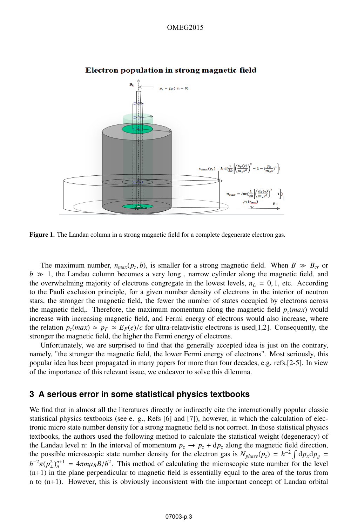#### OMEG2015



#### Electron population in strong magnetic field

Figure 1. The Landau column in a strong magnetic field for a complete degenerate electron gas.

The maximum number,  $n_{max}(p_z, b)$ , is smaller for a strong magnetic field. When  $B \gg B_{cr}$  or  $b \gg 1$ , the Landau column becomes a very long, narrow cylinder along the magnetic field, and the overwhelming majority of electrons congregate in the lowest levels,  $n_L = 0, 1$ , etc. According to the Pauli exclusion principle, for a given number density of electrons in the interior of neutron stars, the stronger the magnetic field, the fewer the number of states occupied by electrons across the magnetic field,. Therefore, the maximum momentum along the magnetic field  $p_z(max)$  would increase with increasing magnetic field, and Fermi energy of electrons would also increase, where the relation  $p_z(max) \approx p_F \approx E_F(e)/c$  for ultra-relativistic electrons is used[1,2]. Consequently, the stronger the magnetic field, the higher the Fermi energy of electrons.

Unfortunately, we are surprised to find that the generally accepted idea is just on the contrary, namely, "the stronger the magnetic field, the lower Fermi energy of electrons". Most seriously, this popular idea has been propagated in many papers for more than four decades, e.g. refs.[2-5]. In view of the importance of this relevant issue, we endeavor to solve this dilemma.

### **3 A serious error in some statistical physics textbooks**

We find that in almost all the literatures directly or indirectly cite the internationally popular classic statistical physics textbooks (see e. g., Refs [6] and [7]), however, in which the calculation of electronic micro state number density for a strong magnetic field is not correct. In those statistical physics textbooks, the authors used the following method to calculate the statistical weight (degeneracy) of the Landau level n: In the interval of momentum  $p_z \rightarrow p_z + dp_z$  along the magnetic field direction, the possible microscopic state number density for the electron gas is  $N_{phase}(p_z) = h^{-2} \int d\rho_x dp_y =$ <br> $h^{-2} \left( \frac{2 \gamma n + 1}{\rho_x^2} \right)$  $h^{-2}\pi(p_\perp^n)^{n+1} = 4\pi m\mu_B B/h^2$ . This method of calculating the microscopic state number for the level  $(n+1)$  in the plane perpendicular to magnetic field is essentially equal to the area of the torus from  $(n+1)$  in the plane perpendicular to magnetic field is essentially equal to the area of the torus from n to (n+1). However, this is obviously inconsistent with the important concept of Landau orbital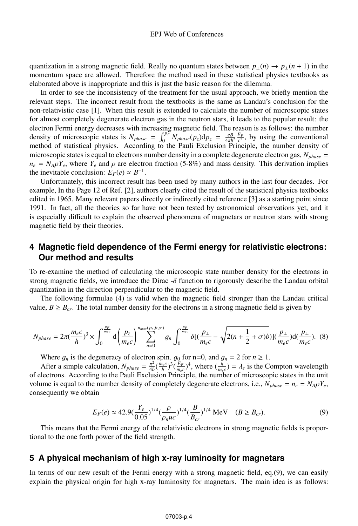quantization in a strong magnetic field. Really no quantum states between  $p_{\perp}(n) \rightarrow p_{\perp}(n+1)$  in the momentum space are allowed. Therefore the method used in these statistical physics textbooks as elaborated above is inappropriate and this is just the basic reason for the dilemma.

In order to see the inconsistency of the treatment for the usual approach, we briefly mention the relevant steps. The incorrect result from the textbooks is the same as Landau's conclusion for the non-relativistic case [1]. When this result is extended to calculate the number of microscopic states for almost completely degenerate electron gas in the neutron stars, it leads to the popular result: the electron Fermi energy decreases with increasing magnetic field. The reason is as follows: the number density of microscopic states is  $N_{phase} = \int_0^{p_F} N_{phase}(p_z) dp_z = \frac{e}{4\pi\hbar^2} \frac{E_F}{c^2}$ , by using the conventional method of statistical physics. According to the Pauli Exclusion Principle, the number density of method of statistical physics. According to the Pauli Exclusion Principle, the number density of microscopic states is equal to electrons number density in a complete degenerate electron gas,  $N_{phase}$  $n_e = N_A \rho Y_e$ , where  $Y_e$  and  $\rho$  are electron fraction (5-8%) and mass density. This derivation implies the inevitable conclusion:  $E_F(e) \propto B^{-1}$ .

Unfortunately, this incorrect result has been used by many authors in the last four decades. For example, In the Page 12 of Ref. [2], authors clearly cited the result of the statistical physics textbooks edited in 1965. Many relevant papers directly or indirectly cited reference [3] as a starting point since 1991. In fact, all the theories so far have not been tested by astronomical observations yet, and it is especially difficult to explain the observed phenomena of magnetars or neutron stars with strong magnetic field by their theories.

## **4 Magnetic field dependence of the Fermi energy for relativistic electrons: Our method and results**

To re-examine the method of calculating the microscopic state number density for the electrons in strong magnetic fields, we introduce the Dirac -δ function to rigorously describe the Landau orbital quantization in the direction perpendicular to the magnetic field.

The following formulae (4) is valid when the magnetic field stronger than the Landau critical value,  $B \geq B_{cr}$ . The total number density for the electrons in a strong magnetic field is given by

$$
N_{phase} = 2\pi \left(\frac{m_e c}{h}\right)^3 \times \int_0^{\frac{p_F}{m_e c}} d\left(\frac{p_z}{m_e c}\right)^{n_{max}(p_z, b, \sigma)} g_n \int_0^{\frac{p_F}{m_e c}} \delta\left[\left(\frac{p_\perp}{m_e c} - \sqrt{2(n + \frac{1}{2} + \sigma)b}\right)\right] \left(\frac{p_\perp}{m_e c}\right) d\left(\frac{p_\perp}{m_e c}\right). \tag{8}
$$

Where  $g_n$  is the degeneracy of electron spin.  $g_0$  for n=0, and  $g_n = 2$  for  $n \ge 1$ .

After a simple calculation,  $N_{phase} = \frac{\pi^2}{4b}(\frac{m_ec}{h})^3(\frac{E_F}{m_ec})^4$ , where  $(\frac{h}{m_ec}) = \lambda_e$  is the Compton wavelength of electrons. According to the Pauli Exclusion Principle, the number of microscopic states in the unit volume is equal to the number density of completely degenerate electrons, i.e.,  $N_{phase} = n_e = N_A \rho Y_e$ , consequently we obtain

$$
E_F(e) \approx 42.9 \left(\frac{Y_e}{0.05}\right)^{1/4} \left(\frac{\rho}{\rho_n u c}\right)^{1/4} \left(\frac{B}{B_{cr}}\right)^{1/4} \text{ MeV} \quad (B \ge B_{cr}).\tag{9}
$$
  
This means that the Fermi energy of the relativistic electrons in strong magnetic fields is propor-

tional to the one forth power of the field strength.

### **5 A physical mechanism of high x-ray luminosity for magnetars**

In terms of our new result of the Fermi energy with a strong magnetic field, eq.(9), we can easily explain the physical origin for high x-ray luminosity for magnetars. The main idea is as follows: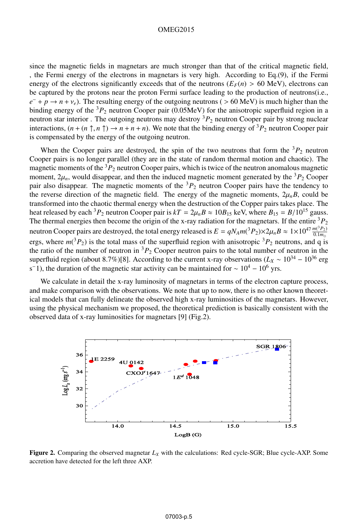#### OMEG2015

since the magnetic fields in magnetars are much stronger than that of the critical magnetic field, , the Fermi energy of the electrons in magnetars is very high. According to Eq.(9), if the Fermi energy of the electrons significantly exceeds that of the neutrons  $(E_F(n) > 60 \text{ MeV})$ , electrons can be captured by the protons near the proton Fermi surface leading to the production of neutrons(i.e., *e*<sup>−</sup> + *p* → *n* +  $\nu_e$ ). The resulting energy of the outgoing neutrons ( > 60 MeV) is much higher than the binding energy of the <sup>3</sup>*P*<sup>2</sup> neutron Cooper pair (0.05MeV) for the anisotropic superfluid region in a neutron star interior . The outgoing neutrons may destroy <sup>3</sup> $P_2$  neutron Cooper pair by strong nuclear interactions,  $(n + (n \uparrow, n \uparrow)) \rightarrow n + n + n)$ . We note that the binding energy of  ${}^{3}P_{2}$  neutron Cooper pair is compensated by the energy of the outgoing neutron.

When the Cooper pairs are destroyed, the spin of the two neutrons that form the  ${}^{3}P_{2}$  neutron Cooper pairs is no longer parallel (they are in the state of random thermal motion and chaotic). The magnetic moments of the  ${}^{3}P_{2}$  neutron Cooper pairs, which is twice of the neutron anomalous magnetic moment,  $2\mu_n$ , would disappear, and then the induced magnetic moment generated by the <sup>3</sup> $P_2$  Cooper pair also disappear. The magnetic moments of the  ${}^{3}P_{2}$  neutron Cooper pairs have the tendency to the reverse direction of the magnetic field. The energy of the magnetic moments,  $2\mu_n B$ , could be transformed into the chaotic thermal energy when the destruction of the Copper pairs takes place. The heat released by each <sup>3</sup> $P_2$  neutron Cooper pair is  $kT = 2\mu_n B \approx 10B_{15}$  keV, where  $B_{15} = B/10^{15}$  gauss. The thermal energies then become the origin of the x-ray radiation for the magnetars. If the entire  ${}^{3}P_{2}$ neutron Cooper pairs are destroyed, the total energy released is  $E = qN_A m(^3P_2) \times 2\mu_B B \approx 1 \times 10^{47} \frac{m(^3P_2)}{0.1 m^3}$ ergs, where  $m(^3P_2)$  is the total mass of the superfluid region with anisotropic  $^3P_2$  neutrons, and q is the ratio of the number of neutron in  ${}^{3}P_2$  Cooper neutron pairs to the total number of neutron in the superfluid region (about 8.7%)[8]. According to the current x-ray observations ( $L_X \sim 10^{34} - 10^{36}$  erg s<sup>−1</sup>), the duration of the magnetic star activity can be maintained for  $\sim 10^4 - 10^6$  yrs.

We calculate in detail the x-ray luminosity of magnetars in terms of the electron capture process, and make comparison with the observations. We note that up to now, there is no other known theoretical models that can fully delineate the observed high x-ray luminosities of the magnetars. However, using the physical mechanism we proposed, the theoretical prediction is basically consistent with the observed data of x-ray luminosities for magnetars [9] (Fig.2).



**Figure 2.** Comparing the observed magnetar  $L_X$  with the calculations: Red cycle-SGR; Blue cycle-AXP. Some accretion have detected for the left three AXP.